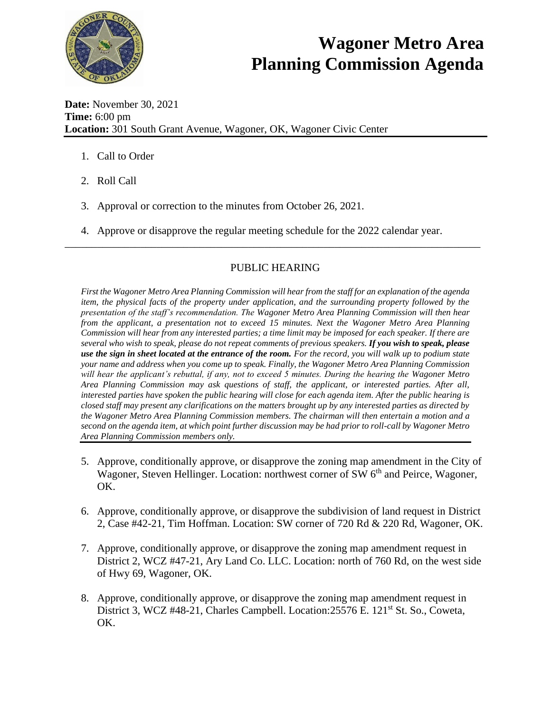

## **Wagoner Metro Area Planning Commission Agenda**

**Date:** November 30, 2021 **Time:** 6:00 pm **Location:** 301 South Grant Avenue, Wagoner, OK, Wagoner Civic Center

- 1. Call to Order
- 2. Roll Call
- 3. Approval or correction to the minutes from October 26, 2021.
- 4. Approve or disapprove the regular meeting schedule for the 2022 calendar year.

## PUBLIC HEARING

\_\_\_\_\_\_\_\_\_\_\_\_\_\_\_\_\_\_\_\_\_\_\_\_\_\_\_\_\_\_\_\_\_\_\_\_\_\_\_\_\_\_\_\_\_\_\_\_\_\_\_\_\_\_\_\_\_\_\_\_\_\_\_\_\_\_\_\_\_\_\_\_\_\_\_\_\_

*First the Wagoner Metro Area Planning Commission will hear from the staff for an explanation of the agenda item, the physical facts of the property under application, and the surrounding property followed by the presentation of the staff's recommendation. The Wagoner Metro Area Planning Commission will then hear from the applicant, a presentation not to exceed 15 minutes. Next the Wagoner Metro Area Planning Commission will hear from any interested parties; a time limit may be imposed for each speaker. If there are several who wish to speak, please do not repeat comments of previous speakers. If you wish to speak, please use the sign in sheet located at the entrance of the room. For the record, you will walk up to podium state your name and address when you come up to speak. Finally, the Wagoner Metro Area Planning Commission will hear the applicant's rebuttal, if any, not to exceed 5 minutes. During the hearing the Wagoner Metro Area Planning Commission may ask questions of staff, the applicant, or interested parties. After all, interested parties have spoken the public hearing will close for each agenda item. After the public hearing is closed staff may present any clarifications on the matters brought up by any interested parties as directed by the Wagoner Metro Area Planning Commission members. The chairman will then entertain a motion and a second on the agenda item, at which point further discussion may be had prior to roll-call by Wagoner Metro Area Planning Commission members only.* 

- 5. Approve, conditionally approve, or disapprove the zoning map amendment in the City of Wagoner, Steven Hellinger. Location: northwest corner of SW  $6<sup>th</sup>$  and Peirce, Wagoner, OK.
- 6. Approve, conditionally approve, or disapprove the subdivision of land request in District 2, Case #42-21, Tim Hoffman. Location: SW corner of 720 Rd & 220 Rd, Wagoner, OK.
- 7. Approve, conditionally approve, or disapprove the zoning map amendment request in District 2, WCZ #47-21, Ary Land Co. LLC. Location: north of 760 Rd, on the west side of Hwy 69, Wagoner, OK.
- 8. Approve, conditionally approve, or disapprove the zoning map amendment request in District 3, WCZ #48-21, Charles Campbell. Location:25576 E. 121<sup>st</sup> St. So., Coweta, OK.